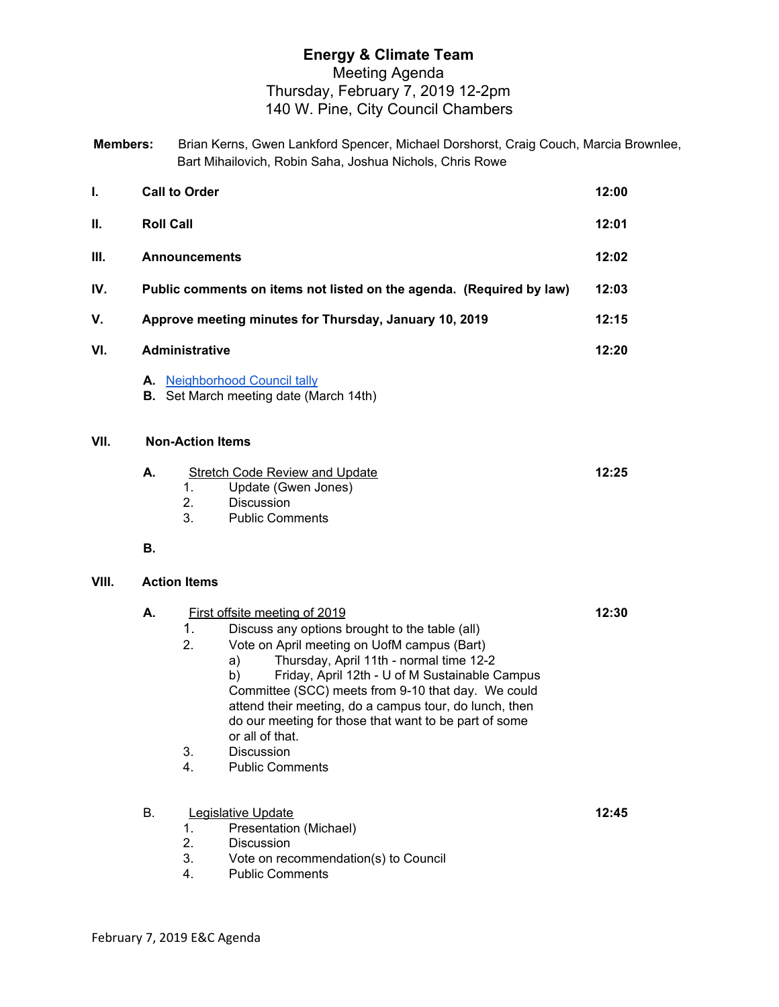## **Energy & Climate Team** Meeting Agenda Thursday, February 7, 2019 12-2pm 140 W. Pine, City Council Chambers

| <b>Members:</b> | Brian Kerns, Gwen Lankford Spencer, Michael Dorshorst, Craig Couch, Marcia Brownlee, |
|-----------------|--------------------------------------------------------------------------------------|
|                 | Bart Mihailovich, Robin Saha, Joshua Nichols, Chris Rowe                             |

| I.    |                  | <b>Call to Order</b>                                                                                                                                                                                                                                                                                                                                                                                                                                                                                            | 12:00 |
|-------|------------------|-----------------------------------------------------------------------------------------------------------------------------------------------------------------------------------------------------------------------------------------------------------------------------------------------------------------------------------------------------------------------------------------------------------------------------------------------------------------------------------------------------------------|-------|
| Ш.    | <b>Roll Call</b> |                                                                                                                                                                                                                                                                                                                                                                                                                                                                                                                 |       |
| III.  |                  | <b>Announcements</b>                                                                                                                                                                                                                                                                                                                                                                                                                                                                                            | 12:02 |
| IV.   |                  | Public comments on items not listed on the agenda. (Required by law)                                                                                                                                                                                                                                                                                                                                                                                                                                            | 12:03 |
| V.    |                  | Approve meeting minutes for Thursday, January 10, 2019                                                                                                                                                                                                                                                                                                                                                                                                                                                          | 12:15 |
| VI.   |                  | <b>Administrative</b>                                                                                                                                                                                                                                                                                                                                                                                                                                                                                           | 12:20 |
|       |                  | A. Neighborhood Council tally<br><b>B.</b> Set March meeting date (March 14th)                                                                                                                                                                                                                                                                                                                                                                                                                                  |       |
| VII.  |                  | <b>Non-Action Items</b>                                                                                                                                                                                                                                                                                                                                                                                                                                                                                         |       |
|       | А.               | <b>Stretch Code Review and Update</b><br>Update (Gwen Jones)<br>1.<br>2.<br><b>Discussion</b><br>3.<br><b>Public Comments</b>                                                                                                                                                                                                                                                                                                                                                                                   | 12:25 |
|       | В.               |                                                                                                                                                                                                                                                                                                                                                                                                                                                                                                                 |       |
| VIII. |                  | <b>Action Items</b>                                                                                                                                                                                                                                                                                                                                                                                                                                                                                             |       |
|       | А.               | First offsite meeting of 2019<br>1 <sub>1</sub><br>Discuss any options brought to the table (all)<br>2.<br>Vote on April meeting on UofM campus (Bart)<br>Thursday, April 11th - normal time 12-2<br>a)<br>Friday, April 12th - U of M Sustainable Campus<br>b)<br>Committee (SCC) meets from 9-10 that day. We could<br>attend their meeting, do a campus tour, do lunch, then<br>do our meeting for those that want to be part of some<br>or all of that.<br>3.<br>Discussion<br><b>Public Comments</b><br>4. | 12:30 |
|       | В.               | Legislative Update<br>Presentation (Michael)<br>$1_{-}$<br>2.<br>Discussion<br>3.<br>Vote on recommendation(s) to Council<br><b>Public Comments</b><br>4.                                                                                                                                                                                                                                                                                                                                                       | 12:45 |